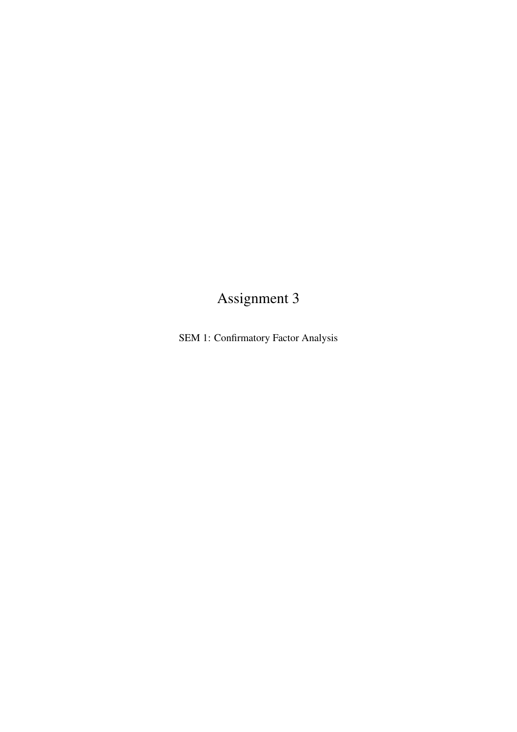## Assignment 3

SEM 1: Confirmatory Factor Analysis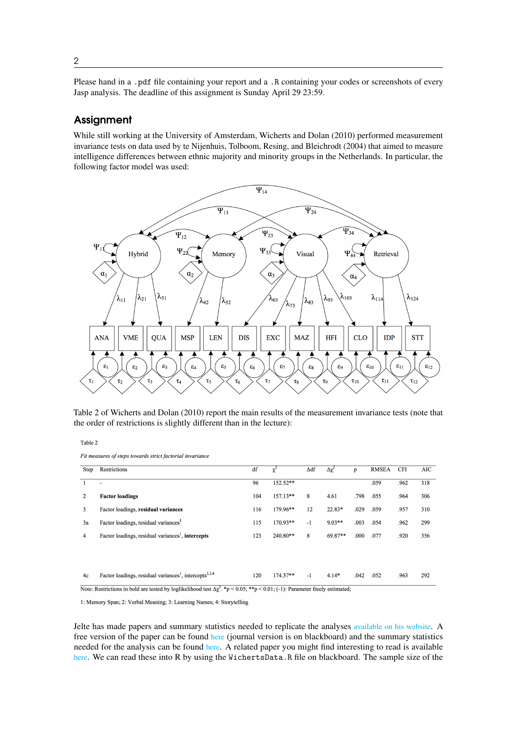Please hand in a .pdf file containing your report and a .R containing your codes or screenshots of every Jasp analysis. The deadline of this assignment is Sunday April 29 23:59.

## **Assignment**

While still working at the University of Amsterdam, [Wicherts and Dolan](#page-3-0) [\(2010\)](#page-3-0) performed measurement invariance tests on data used by [te Nijenhuis, Tolboom, Resing, and Bleichrodt](#page-3-1) [\(2004\)](#page-3-1) that aimed to measure intelligence differences between ethnic majority and minority groups in the Netherlands. In particular, the following factor model was used:



Table 2 of [Wicherts and Dolan](#page-3-0) [\(2010\)](#page-3-0) report the main results of the measurement invariance tests (note that the order of restrictions is slightly different than in the lecture):

Table 2

Fit measures of steps towards strict factorial invariance

| Step           | Restrictions                                                                   | df  | χ          | $\Delta df$ | Δχ <sup>2</sup> | p    | <b>RMSEA</b> | <b>CFI</b> | <b>AIC</b> |
|----------------|--------------------------------------------------------------------------------|-----|------------|-------------|-----------------|------|--------------|------------|------------|
|                | ۰                                                                              | 96  | 152.52**   |             |                 |      | .059         | .962       | 318        |
| $\overline{2}$ | <b>Factor loadings</b>                                                         | 104 | $157.13**$ | 8           | 4.61            | .798 | .055         | .964       | 306        |
| 3              | Factor loadings, residual variances                                            | 116 | 179.96**   | 12          | $22.83*$        | .029 | .059         | .957       | 310        |
| 3a             | Factor loadings, residual variances <sup>1</sup>                               | 115 | 170.93**   | $-1$        | $9.03**$        | .003 | .054         | .962       | 299        |
| 4              | Factor loadings, residual variances <sup>1</sup> , intercepts                  | 123 | 240.80**   | 8           | $69.87**$       | .000 | .077         | .920       | 356        |
|                |                                                                                |     |            |             |                 |      |              |            |            |
|                |                                                                                |     |            |             |                 |      |              |            |            |
| 4c             | Factor loadings, residual variances <sup>1</sup> , intercepts <sup>2,3,4</sup> | 120 | $174.37**$ | $-1$        | $4.14*$         | .042 | .052         | .963       | 292        |

Note: Restrictions in bold are tested by loglikelihood test  $\Delta \chi^2$ . \*p < 0.05; \*\*p < 0.01; (-1): Parameter freely estimated;

1: Memory Span; 2: Verbal Meaning; 3: Learning Names; 4: Storytelling

Jelte has made papers and summary statistics needed to replicate the analyses [available on his website](https://jeltewicherts.net/publications/). A free version of the paper can be found [here](https://jeltewichertsdotnet.files.wordpress.com/2015/12/wichertsdolanemip2010.pdf) (journal version is on blackboard) and the summary statistics needed for the analysis can be found [here](https://jeltewichertsdotnet.files.wordpress.com/2015/12/wichertsdolanemipdata.pdf). A related paper you might find interesting to read is available [here](https://www.researchgate.net/publication/304661070_The_importance_of_measurement_invariance_in_neurocognitive_ability_testing). We can read these into R by using the WichertsData.R file on blackboard. The sample size of the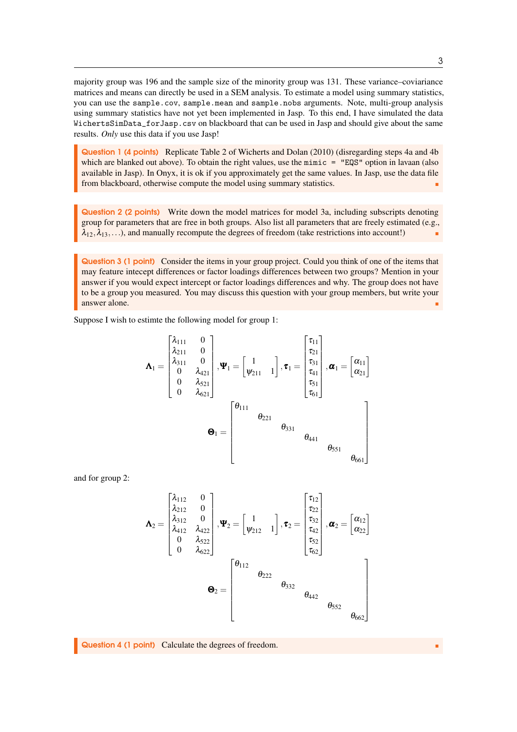majority group was 196 and the sample size of the minority group was 131. These variance–coviariance matrices and means can directly be used in a SEM analysis. To estimate a model using summary statistics, you can use the sample.cov, sample.mean and sample.nobs arguments. Note, multi-group analysis using summary statistics have not yet been implemented in Jasp. To this end, I have simulated the data WichertsSimData\_forJasp.csv on blackboard that can be used in Jasp and should give about the same results. *Only* use this data if you use Jasp!

Question 1 (4 points) Replicate Table 2 of [Wicherts and Dolan](#page-3-0) [\(2010\)](#page-3-0) (disregarding steps 4a and 4b which are blanked out above). To obtain the right values, use the  $\text{minic} = \text{``EQS''}$  option in lavaan (also available in Jasp). In Onyx, it is ok if you approximately get the same values. In Jasp, use the data file from blackboard, otherwise compute the model using summary statistics.

Question 2 (2 points) Write down the model matrices for model 3a, including subscripts denoting group for parameters that are free in both groups. Also list all parameters that are freely estimated (e.g.,  $\lambda_{12}, \lambda_{13}, \ldots$ ), and manually recompute the degrees of freedom (take restrictions into account!)

Question 3 (1 point) Consider the items in your group project. Could you think of one of the items that may feature intecept differences or factor loadings differences between two groups? Mention in your answer if you would expect intercept or factor loadings differences and why. The group does not have to be a group you measured. You may discuss this question with your group members, but write your answer alone.

Suppose I wish to estimte the following model for group 1:

$$
\mathbf{\Lambda}_{1} = \begin{bmatrix} \lambda_{111} & 0 \\ \lambda_{211} & 0 \\ 0 & \lambda_{421} \\ 0 & \lambda_{521} \\ 0 & \lambda_{621} \end{bmatrix}, \mathbf{\Psi}_{1} = \begin{bmatrix} 1 \\ \psi_{211} & 1 \end{bmatrix}, \mathbf{\tau}_{1} = \begin{bmatrix} \tau_{11} \\ \tau_{21} \\ \tau_{31} \\ \tau_{41} \\ \tau_{51} \end{bmatrix}, \mathbf{\alpha}_{1} = \begin{bmatrix} \alpha_{11} \\ \alpha_{21} \end{bmatrix}
$$

$$
\mathbf{\Theta}_{1} = \begin{bmatrix} \theta_{111} & \theta_{221} & \theta_{331} \\ \theta_{331} & \theta_{441} \\ \theta_{551} & \theta_{661} \end{bmatrix}
$$

and for group 2:

$$
\Lambda_2 = \begin{bmatrix} \lambda_{112} & 0 \\ \lambda_{212} & 0 \\ \lambda_{312} & 0 \\ \lambda_{412} & \lambda_{422} \\ 0 & \lambda_{522} \\ 0 & \lambda_{622} \end{bmatrix}, \Psi_2 = \begin{bmatrix} 1 \\ \psi_{212} & 1 \end{bmatrix}, \tau_2 = \begin{bmatrix} \tau_{12} \\ \tau_{22} \\ \tau_{32} \\ \tau_{42} \\ \tau_{62} \end{bmatrix}, \alpha_2 = \begin{bmatrix} \alpha_{12} \\ \alpha_{22} \end{bmatrix}
$$

$$
\Theta_2 = \begin{bmatrix} \theta_{112} & \theta_{222} & \theta_{332} \\ & \theta_{442} & \theta_{552} \\ & \theta_{662} \end{bmatrix}
$$